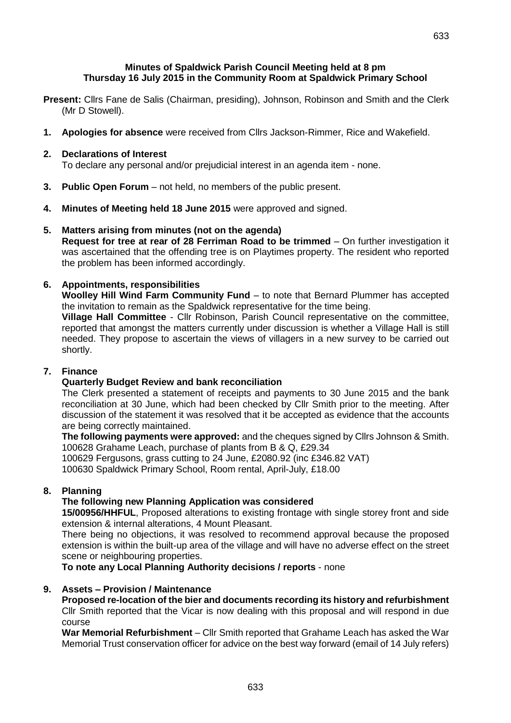- **Thursday 16 July 2015 in the Community Room at Spaldwick Primary School**
- **Present:** Cllrs Fane de Salis (Chairman, presiding), Johnson, Robinson and Smith and the Clerk (Mr D Stowell).
- **1. Apologies for absence** were received from Cllrs Jackson-Rimmer, Rice and Wakefield.

# **2. Declarations of Interest**

To declare any personal and/or prejudicial interest in an agenda item - none.

- **3. Public Open Forum**  not held, no members of the public present.
- **4. Minutes of Meeting held 18 June 2015** were approved and signed.

### **5. Matters arising from minutes (not on the agenda)**

**Request for tree at rear of 28 Ferriman Road to be trimmed** – On further investigation it was ascertained that the offending tree is on Playtimes property. The resident who reported the problem has been informed accordingly.

# **6. Appointments, responsibilities**

**Woolley Hill Wind Farm Community Fund** – to note that Bernard Plummer has accepted the invitation to remain as the Spaldwick representative for the time being.

**Village Hall Committee** - Cllr Robinson, Parish Council representative on the committee, reported that amongst the matters currently under discussion is whether a Village Hall is still needed. They propose to ascertain the views of villagers in a new survey to be carried out shortly.

#### **7. Finance**

# **Quarterly Budget Review and bank reconciliation**

The Clerk presented a statement of receipts and payments to 30 June 2015 and the bank reconciliation at 30 June, which had been checked by Cllr Smith prior to the meeting. After discussion of the statement it was resolved that it be accepted as evidence that the accounts are being correctly maintained.

**The following payments were approved:** and the cheques signed by Cllrs Johnson & Smith. 100628 Grahame Leach, purchase of plants from B & Q, £29.34

100629 Fergusons, grass cutting to 24 June, £2080.92 (inc £346.82 VAT)

100630 Spaldwick Primary School, Room rental, April-July, £18.00

#### **8. Planning**

# **The following new Planning Application was considered**

**15/00956/HHFUL**, Proposed alterations to existing frontage with single storey front and side extension & internal alterations, 4 Mount Pleasant.

There being no objections, it was resolved to recommend approval because the proposed extension is within the built-up area of the village and will have no adverse effect on the street scene or neighbouring properties.

**To note any Local Planning Authority decisions / reports** - none

# **9. Assets – Provision / Maintenance**

**Proposed re-location of the bier and documents recording its history and refurbishment**  Cllr Smith reported that the Vicar is now dealing with this proposal and will respond in due course

**War Memorial Refurbishment** – Cllr Smith reported that Grahame Leach has asked the War Memorial Trust conservation officer for advice on the best way forward (email of 14 July refers)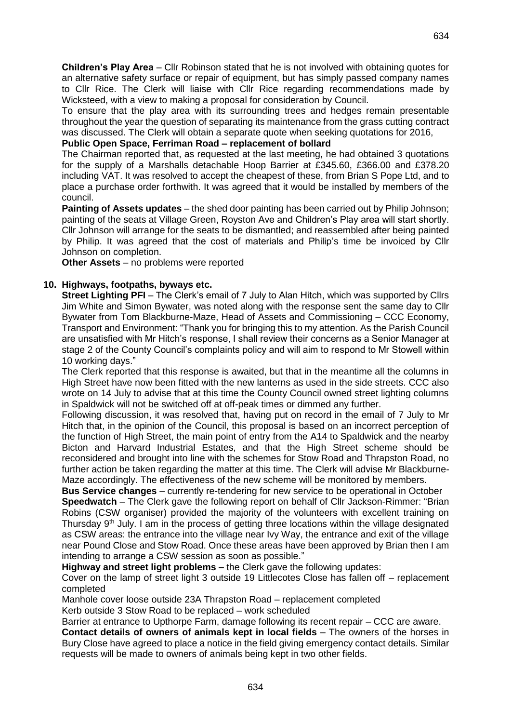**Children's Play Area** – Cllr Robinson stated that he is not involved with obtaining quotes for an alternative safety surface or repair of equipment, but has simply passed company names to Cllr Rice. The Clerk will liaise with Cllr Rice regarding recommendations made by Wicksteed, with a view to making a proposal for consideration by Council.

To ensure that the play area with its surrounding trees and hedges remain presentable throughout the year the question of separating its maintenance from the grass cutting contract was discussed. The Clerk will obtain a separate quote when seeking quotations for 2016,

#### **Public Open Space, Ferriman Road – replacement of bollard**

The Chairman reported that, as requested at the last meeting, he had obtained 3 quotations for the supply of a Marshalls detachable Hoop Barrier at £345.60, £366.00 and £378.20 including VAT. It was resolved to accept the cheapest of these, from Brian S Pope Ltd, and to place a purchase order forthwith. It was agreed that it would be installed by members of the council.

**Painting of Assets updates** – the shed door painting has been carried out by Philip Johnson; painting of the seats at Village Green, Royston Ave and Children's Play area will start shortly. Cllr Johnson will arrange for the seats to be dismantled; and reassembled after being painted by Philip. It was agreed that the cost of materials and Philip's time be invoiced by Cllr Johnson on completion.

**Other Assets** – no problems were reported

### **10. Highways, footpaths, byways etc.**

**Street Lighting PFI** – The Clerk's email of 7 July to Alan Hitch, which was supported by Cllrs Jim White and Simon Bywater, was noted along with the response sent the same day to Cllr Bywater from Tom Blackburne-Maze, Head of Assets and Commissioning – CCC Economy, Transport and Environment: "Thank you for bringing this to my attention. As the Parish Council are unsatisfied with Mr Hitch's response, I shall review their concerns as a Senior Manager at stage 2 of the County Council's complaints policy and will aim to respond to Mr Stowell within 10 working days."

The Clerk reported that this response is awaited, but that in the meantime all the columns in High Street have now been fitted with the new lanterns as used in the side streets. CCC also wrote on 14 July to advise that at this time the County Council owned street lighting columns in Spaldwick will not be switched off at off-peak times or dimmed any further.

Following discussion, it was resolved that, having put on record in the email of 7 July to Mr Hitch that, in the opinion of the Council, this proposal is based on an incorrect perception of the function of High Street, the main point of entry from the A14 to Spaldwick and the nearby Bicton and Harvard Industrial Estates, and that the High Street scheme should be reconsidered and brought into line with the schemes for Stow Road and Thrapston Road, no further action be taken regarding the matter at this time. The Clerk will advise Mr Blackburne-Maze accordingly. The effectiveness of the new scheme will be monitored by members.

**Bus Service changes** – currently re-tendering for new service to be operational in October **Speedwatch** – The Clerk gave the following report on behalf of Cllr Jackson-Rimmer: "Brian Robins (CSW organiser) provided the majority of the volunteers with excellent training on Thursday 9<sup>th</sup> July. I am in the process of getting three locations within the village designated as CSW areas: the entrance into the village near Ivy Way, the entrance and exit of the village near Pound Close and Stow Road. Once these areas have been approved by Brian then I am intending to arrange a CSW session as soon as possible."

**Highway and street light problems –** the Clerk gave the following updates:

Cover on the lamp of street light 3 outside 19 Littlecotes Close has fallen off – replacement completed

Manhole cover loose outside 23A Thrapston Road – replacement completed

Kerb outside 3 Stow Road to be replaced – work scheduled

Barrier at entrance to Upthorpe Farm, damage following its recent repair – CCC are aware.

**Contact details of owners of animals kept in local fields** – The owners of the horses in Bury Close have agreed to place a notice in the field giving emergency contact details. Similar requests will be made to owners of animals being kept in two other fields.